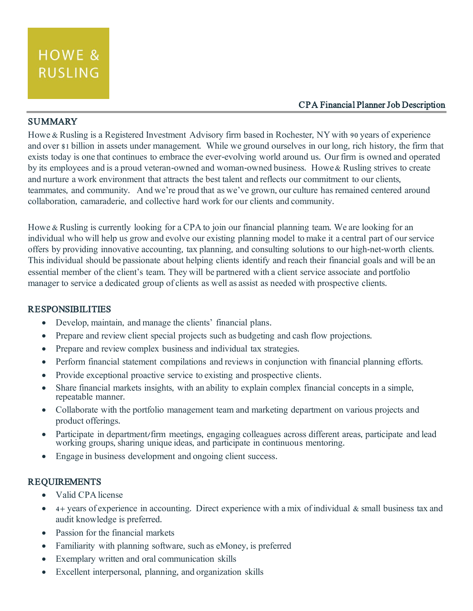### CPA Financial Planner Job Description

# SUMMARY

Howe & Rusling is a Registered Investment Advisory firm based in Rochester, NY with 90 years of experience and over \$1 billion in assets under management. While we ground ourselves in our long, rich history, the firm that exists today is one that continues to embrace the ever-evolving world around us. Our firm is owned and operated by its employees and is a proud veteran-owned and woman-owned business. Howe & Rusling strives to create and nurture a work environment that attracts the best talent and reflects our commitment to our clients, teammates, and community. And we're proud that as we've grown, our culture has remained centered around collaboration, camaraderie, and collective hard work for our clients and community.

Howe & Rusling is currently looking for a CPA to join our financial planning team. We are looking for an individual who will help us grow and evolve our existing planning model to make it a central part of our service offers by providing innovative accounting, tax planning, and consulting solutions to our high-net-worth clients. This individual should be passionate about helping clients identify and reach their financial goals and will be an essential member of the client's team. They will be partnered with a client service associate and portfolio manager to service a dedicated group of clients as well as assist as needed with prospective clients.

## RESPONSIBILITIES

- Develop, maintain, and manage the clients' financial plans.
- Prepare and review client special projects such as budgeting and cash flow projections.
- Prepare and review complex business and individual tax strategies.
- Perform financial statement compilations and reviews in conjunction with financial planning efforts.
- Provide exceptional proactive service to existing and prospective clients.
- Share financial markets insights, with an ability to explain complex financial concepts in a simple, repeatable manner.
- Collaborate with the portfolio management team and marketing department on various projects and product offerings.
- Participate in department/firm meetings, engaging colleagues across different areas, participate and lead working groups, sharing unique ideas, and participate in continuous mentoring.
- Engage in business development and ongoing client success.

## REQUIREMENTS

- Valid CPA license
- 4+ years of experience in accounting. Direct experience with a mix of individual & small business tax and audit knowledge is preferred.
- Passion for the financial markets
- Familiarity with planning software, such as eMoney, is preferred
- Exemplary written and oral communication skills
- Excellent interpersonal, planning, and organization skills